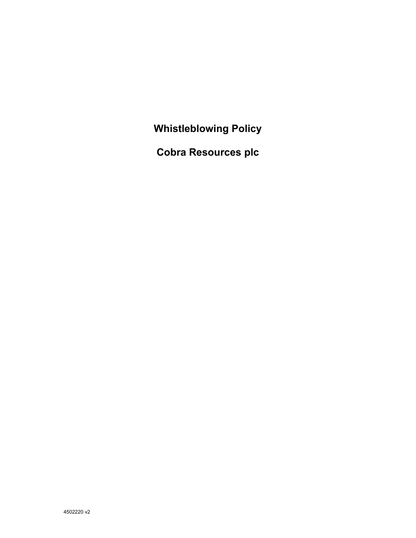**Whistleblowing Policy** 

**Cobra Resources plc**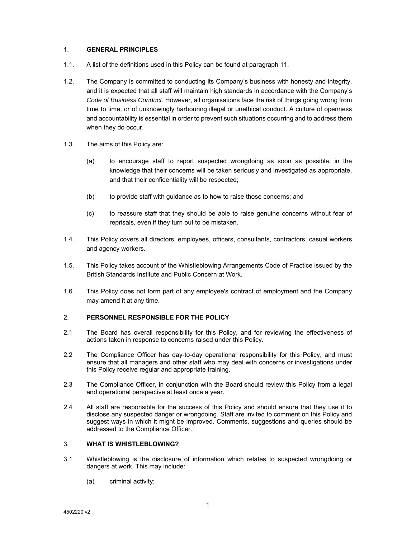#### 1. **GENERAL PRINCIPLES**

- 1.1. A list of the definitions used in this Policy can be found at paragraph 11.
- 1.2. The Company is committed to conducting its Company's business with honesty and integrity, and it is expected that all staff will maintain high standards in accordance with the Company's *Code of Business Conduct*. However, all organisations face the risk of things going wrong from time to time, or of unknowingly harbouring illegal or unethical conduct. A culture of openness and accountability is essential in order to prevent such situations occurring and to address them when they do occur.
- 1.3. The aims of this Policy are:
	- (a) to encourage staff to report suspected wrongdoing as soon as possible, in the knowledge that their concerns will be taken seriously and investigated as appropriate, and that their confidentiality will be respected;
	- (b) to provide staff with guidance as to how to raise those concerns; and
	- (c) to reassure staff that they should be able to raise genuine concerns without fear of reprisals, even if they turn out to be mistaken.
- 1.4. This Policy covers all directors, employees, officers, consultants, contractors, casual workers and agency workers.
- 1.5. This Policy takes account of the Whistleblowing Arrangements Code of Practice issued by the British Standards Institute and Public Concern at Work.
- 1.6. This Policy does not form part of any employee's contract of employment and the Company may amend it at any time.

### 2. **PERSONNEL RESPONSIBLE FOR THE POLICY**

- 2.1 The Board has overall responsibility for this Policy, and for reviewing the effectiveness of actions taken in response to concerns raised under this Policy.
- 2.2 The Compliance Officer has day-to-day operational responsibility for this Policy, and must ensure that all managers and other staff who may deal with concerns or investigations under this Policy receive regular and appropriate training.
- 2.3 The Compliance Officer, in conjunction with the Board should review this Policy from a legal and operational perspective at least once a year.
- 2.4 All staff are responsible for the success of this Policy and should ensure that they use it to disclose any suspected danger or wrongdoing. Staff are invited to comment on this Policy and suggest ways in which it might be improved. Comments, suggestions and queries should be addressed to the Compliance Officer.

#### 3. **WHAT IS WHISTLEBLOWING?**

- 3.1 Whistleblowing is the disclosure of information which relates to suspected wrongdoing or dangers at work. This may include:
	- (a) criminal activity;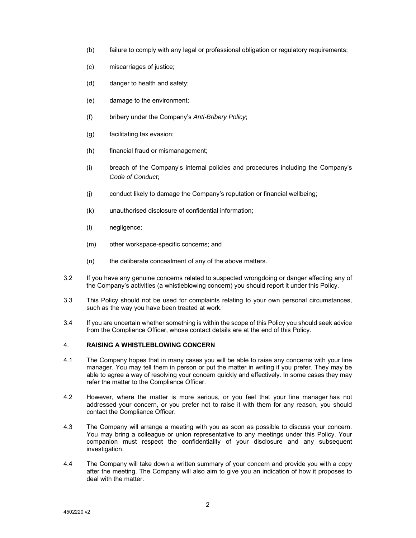- (b) failure to comply with any legal or professional obligation or regulatory requirements;
- (c) miscarriages of justice;
- (d) danger to health and safety;
- (e) damage to the environment;
- (f) bribery under the Company's *Anti-Bribery Policy*;
- (g) facilitating tax evasion;
- (h) financial fraud or mismanagement;
- (i) breach of the Company's internal policies and procedures including the Company's *Code of Conduct*;
- (j) conduct likely to damage the Company's reputation or financial wellbeing;
- (k) unauthorised disclosure of confidential information;
- (l) negligence;
- (m) other workspace-specific concerns; and
- (n) the deliberate concealment of any of the above matters.
- 3.2 If you have any genuine concerns related to suspected wrongdoing or danger affecting any of the Company's activities (a whistleblowing concern) you should report it under this Policy.
- 3.3 This Policy should not be used for complaints relating to your own personal circumstances, such as the way you have been treated at work.
- 3.4 If you are uncertain whether something is within the scope of this Policy you should seek advice from the Compliance Officer, whose contact details are at the end of this Policy.

### 4. **RAISING A WHISTLEBLOWING CONCERN**

- 4.1 The Company hopes that in many cases you will be able to raise any concerns with your line manager. You may tell them in person or put the matter in writing if you prefer. They may be able to agree a way of resolving your concern quickly and effectively. In some cases they may refer the matter to the Compliance Officer.
- 4.2 However, where the matter is more serious, or you feel that your line manager has not addressed your concern, or you prefer not to raise it with them for any reason, you should contact the Compliance Officer.
- 4.3 The Company will arrange a meeting with you as soon as possible to discuss your concern. You may bring a colleague or union representative to any meetings under this Policy. Your companion must respect the confidentiality of your disclosure and any subsequent investigation.
- 4.4 The Company will take down a written summary of your concern and provide you with a copy after the meeting. The Company will also aim to give you an indication of how it proposes to deal with the matter.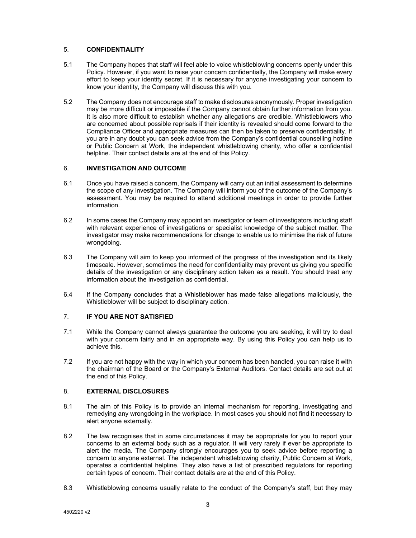## 5. **CONFIDENTIALITY**

- 5.1 The Company hopes that staff will feel able to voice whistleblowing concerns openly under this Policy. However, if you want to raise your concern confidentially, the Company will make every effort to keep your identity secret. If it is necessary for anyone investigating your concern to know your identity, the Company will discuss this with you.
- 5.2 The Company does not encourage staff to make disclosures anonymously. Proper investigation may be more difficult or impossible if the Company cannot obtain further information from you. It is also more difficult to establish whether any allegations are credible. Whistleblowers who are concerned about possible reprisals if their identity is revealed should come forward to the Compliance Officer and appropriate measures can then be taken to preserve confidentiality. If you are in any doubt you can seek advice from the Company's confidential counselling hotline or Public Concern at Work, the independent whistleblowing charity, who offer a confidential helpline. Their contact details are at the end of this Policy.

# 6. **INVESTIGATION AND OUTCOME**

- 6.1 Once you have raised a concern, the Company will carry out an initial assessment to determine the scope of any investigation. The Company will inform you of the outcome of the Company's assessment. You may be required to attend additional meetings in order to provide further information.
- 6.2 In some cases the Company may appoint an investigator or team of investigators including staff with relevant experience of investigations or specialist knowledge of the subject matter. The investigator may make recommendations for change to enable us to minimise the risk of future wrongdoing.
- 6.3 The Company will aim to keep you informed of the progress of the investigation and its likely timescale. However, sometimes the need for confidentiality may prevent us giving you specific details of the investigation or any disciplinary action taken as a result. You should treat any information about the investigation as confidential.
- 6.4 If the Company concludes that a Whistleblower has made false allegations maliciously, the Whistleblower will be subject to disciplinary action.

### 7. **IF YOU ARE NOT SATISFIED**

- 7.1 While the Company cannot always guarantee the outcome you are seeking, it will try to deal with your concern fairly and in an appropriate way. By using this Policy you can help us to achieve this.
- 7.2 If you are not happy with the way in which your concern has been handled, you can raise it with the chairman of the Board or the Company's External Auditors. Contact details are set out at the end of this Policy.

### 8. **EXTERNAL DISCLOSURES**

- 8.1 The aim of this Policy is to provide an internal mechanism for reporting, investigating and remedying any wrongdoing in the workplace. In most cases you should not find it necessary to alert anyone externally.
- 8.2 The law recognises that in some circumstances it may be appropriate for you to report your concerns to an external body such as a regulator. It will very rarely if ever be appropriate to alert the media. The Company strongly encourages you to seek advice before reporting a concern to anyone external. The independent whistleblowing charity, Public Concern at Work, operates a confidential helpline. They also have a list of prescribed regulators for reporting certain types of concern. Their contact details are at the end of this Policy.
- 8.3 Whistleblowing concerns usually relate to the conduct of the Company's staff, but they may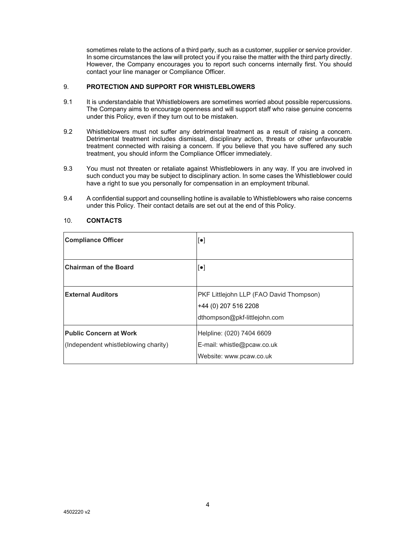sometimes relate to the actions of a third party, such as a customer, supplier or service provider. In some circumstances the law will protect you if you raise the matter with the third party directly. However, the Company encourages you to report such concerns internally first. You should contact your line manager or Compliance Officer.

## 9. **PROTECTION AND SUPPORT FOR WHISTLEBLOWERS**

- 9.1 It is understandable that Whistleblowers are sometimes worried about possible repercussions. The Company aims to encourage openness and will support staff who raise genuine concerns under this Policy, even if they turn out to be mistaken.
- 9.2 Whistleblowers must not suffer any detrimental treatment as a result of raising a concern. Detrimental treatment includes dismissal, disciplinary action, threats or other unfavourable treatment connected with raising a concern. If you believe that you have suffered any such treatment, you should inform the Compliance Officer immediately.
- 9.3 You must not threaten or retaliate against Whistleblowers in any way. If you are involved in such conduct you may be subject to disciplinary action. In some cases the Whistleblower could have a right to sue you personally for compensation in an employment tribunal.
- 9.4 A confidential support and counselling hotline is available to Whistleblowers who raise concerns under this Policy. Their contact details are set out at the end of this Policy.

| <b>Compliance Officer</b>                                             | $[\bullet]$                                                                                     |
|-----------------------------------------------------------------------|-------------------------------------------------------------------------------------------------|
| <b>Chairman of the Board</b>                                          | $[\bullet]$                                                                                     |
| <b>External Auditors</b>                                              | PKF Littlejohn LLP (FAO David Thompson)<br>+44 (0) 207 516 2208<br>dthompson@pkf-littlejohn.com |
| <b>Public Concern at Work</b><br>(Independent whistleblowing charity) | Helpline: (020) 7404 6609<br>E-mail: whistle@pcaw.co.uk<br>Website: www.pcaw.co.uk              |

#### 10. **CONTACTS**